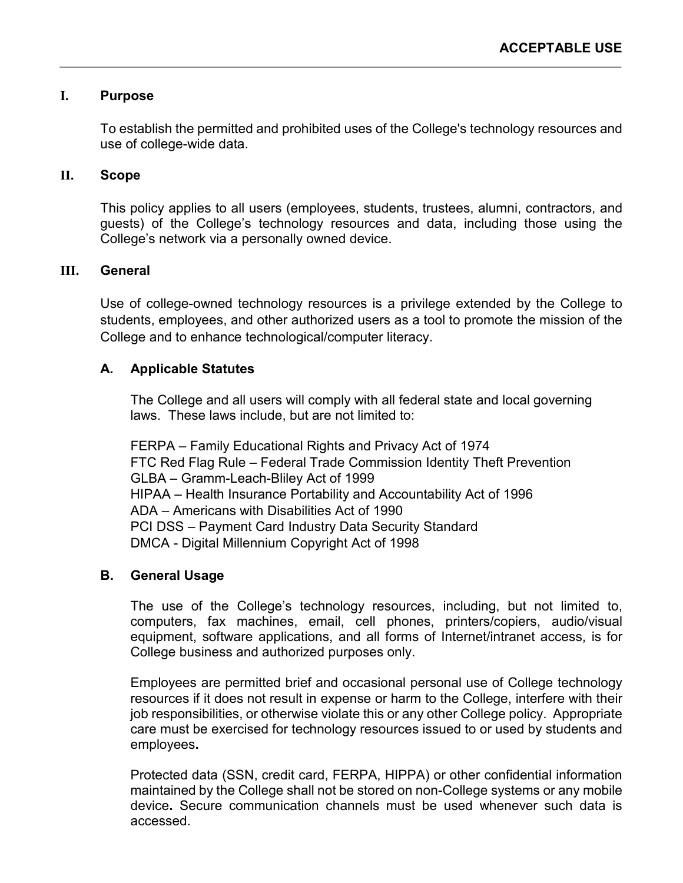### **I. Purpose**

To establish the permitted and prohibited uses of the College's technology resources and use of college-wide data.

#### **II. Scope**

This policy applies to all users (employees, students, trustees, alumni, contractors, and guests) of the College's technology resources and data, including those using the College's network via a personally owned device.

### **III. General**

Use of college-owned technology resources is a privilege extended by the College to students, employees, and other authorized users as a tool to promote the mission of the College and to enhance technological/computer literacy.

#### **A. Applicable Statutes**

The College and all users will comply with all federal state and local governing laws. These laws include, but are not limited to:

FERPA – Family Educational Rights and Privacy Act of 1974 FTC Red Flag Rule – Federal Trade Commission Identity Theft Prevention GLBA – Gramm-Leach-Bliley Act of 1999 HIPAA – Health Insurance Portability and Accountability Act of 1996 ADA – Americans with Disabilities Act of 1990 PCI DSS – Payment Card Industry Data Security Standard DMCA - Digital Millennium Copyright Act of 1998

#### **B. General Usage**

The use of the College's technology resources, including, but not limited to, computers, fax machines, email, cell phones, printers/copiers, audio/visual equipment, software applications, and all forms of Internet/intranet access, is for College business and authorized purposes only.

Employees are permitted brief and occasional personal use of College technology resources if it does not result in expense or harm to the College, interfere with their job responsibilities, or otherwise violate this or any other College policy. Appropriate care must be exercised for technology resources issued to or used by students and employees**.**

Protected data (SSN, credit card, FERPA, HIPPA) or other confidential information maintained by the College shall not be stored on non-College systems or any mobile device**.** Secure communication channels must be used whenever such data is accessed.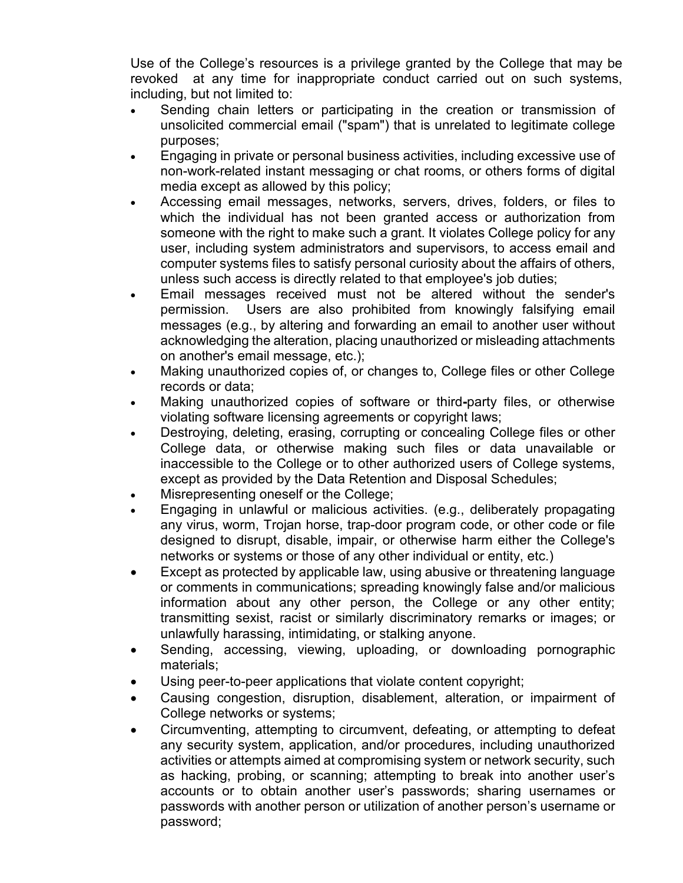Use of the College's resources is a privilege granted by the College that may be revoked at any time for inappropriate conduct carried out on such systems, including, but not limited to:

- Sending chain letters or participating in the creation or transmission of unsolicited commercial email ("spam") that is unrelated to legitimate college purposes;
- Engaging in private or personal business activities, including excessive use of non-work-related instant messaging or chat rooms, or others forms of digital media except as allowed by this policy;
- Accessing email messages, networks, servers, drives, folders, or files to which the individual has not been granted access or authorization from someone with the right to make such a grant. It violates College policy for any user, including system administrators and supervisors, to access email and computer systems files to satisfy personal curiosity about the affairs of others, unless such access is directly related to that employee's job duties;
- Email messages received must not be altered without the sender's permission. Users are also prohibited from knowingly falsifying email messages (e.g., by altering and forwarding an email to another user without acknowledging the alteration, placing unauthorized or misleading attachments on another's email message, etc.);
- Making unauthorized copies of, or changes to, College files or other College records or data;
- Making unauthorized copies of software or third**-**party files, or otherwise violating software licensing agreements or copyright laws;
- Destroying, deleting, erasing, corrupting or concealing College files or other College data, or otherwise making such files or data unavailable or inaccessible to the College or to other authorized users of College systems, except as provided by the Data Retention and Disposal Schedules;
- Misrepresenting oneself or the College;
- Engaging in unlawful or malicious activities. (e.g., deliberately propagating any virus, worm, Trojan horse, trap-door program code, or other code or file designed to disrupt, disable, impair, or otherwise harm either the College's networks or systems or those of any other individual or entity, etc.)
- Except as protected by applicable law, using abusive or threatening language or comments in communications; spreading knowingly false and/or malicious information about any other person, the College or any other entity; transmitting sexist, racist or similarly discriminatory remarks or images; or unlawfully harassing, intimidating, or stalking anyone.
- Sending, accessing, viewing, uploading, or downloading pornographic materials;
- Using peer-to-peer applications that violate content copyright;
- Causing congestion, disruption, disablement, alteration, or impairment of College networks or systems;
- Circumventing, attempting to circumvent, defeating, or attempting to defeat any security system, application, and/or procedures, including unauthorized activities or attempts aimed at compromising system or network security, such as hacking, probing, or scanning; attempting to break into another user's accounts or to obtain another user's passwords; sharing usernames or passwords with another person or utilization of another person's username or password;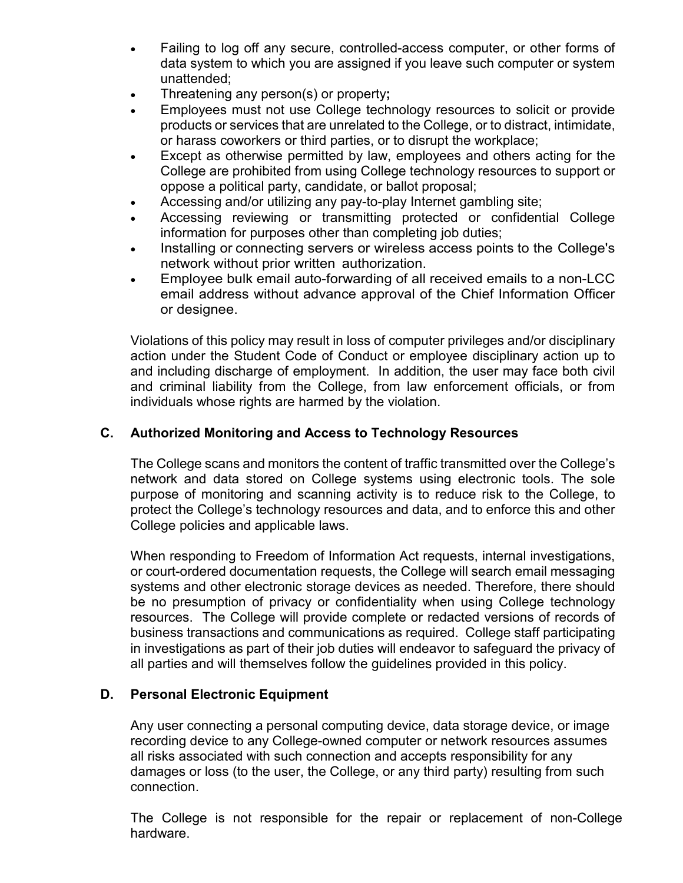- Failing to log off any secure, controlled-access computer, or other forms of data system to which you are assigned if you leave such computer or system unattended;
- Threatening any person(s) or property**;**
- Employees must not use College technology resources to solicit or provide products or services that are unrelated to the College, or to distract, intimidate, or harass coworkers or third parties, or to disrupt the workplace;
- Except as otherwise permitted by law, employees and others acting for the College are prohibited from using College technology resources to support or oppose a political party, candidate, or ballot proposal;
- Accessing and/or utilizing any pay-to-play Internet gambling site;
- Accessing reviewing or transmitting protected or confidential College information for purposes other than completing job duties;
- Installing or connecting servers or wireless access points to the College's network without prior written authorization.
- Employee bulk email auto-forwarding of all received emails to a non-LCC email address without advance approval of the Chief Information Officer or designee.

Violations of this policy may result in loss of computer privileges and/or disciplinary action under the Student Code of Conduct or employee disciplinary action up to and including discharge of employment. In addition, the user may face both civil and criminal liability from the College, from law enforcement officials, or from individuals whose rights are harmed by the violation.

# **C. Authorized Monitoring and Access to Technology Resources**

The College scans and monitors the content of traffic transmitted over the College's network and data stored on College systems using electronic tools. The sole purpose of monitoring and scanning activity is to reduce risk to the College, to protect the College's technology resources and data, and to enforce this and other College polic**i**es and applicable laws.

When responding to Freedom of Information Act requests, internal investigations, or court-ordered documentation requests, the College will search email messaging systems and other electronic storage devices as needed. Therefore, there should be no presumption of privacy or confidentiality when using College technology resources. The College will provide complete or redacted versions of records of business transactions and communications as required. College staff participating in investigations as part of their job duties will endeavor to safeguard the privacy of all parties and will themselves follow the guidelines provided in this policy.

# **D. Personal Electronic Equipment**

Any user connecting a personal computing device, data storage device, or image recording device to any College-owned computer or network resources assumes all risks associated with such connection and accepts responsibility for any damages or loss (to the user, the College, or any third party) resulting from such connection.

The College is not responsible for the repair or replacement of non-College hardware.